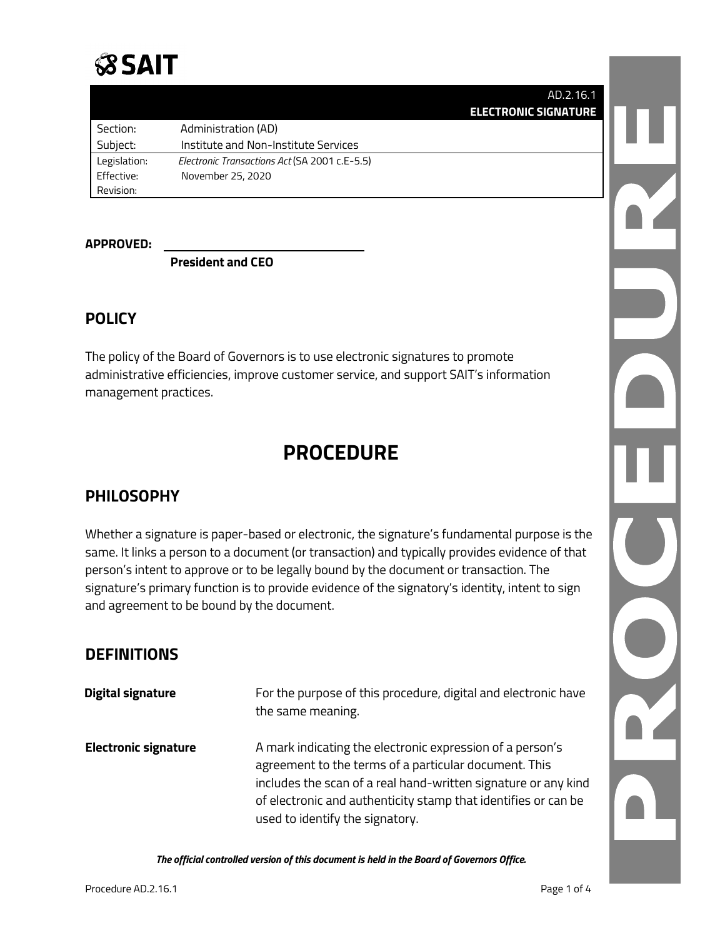# **SSAIT**

| AD.2.16.1                   |  |
|-----------------------------|--|
| <b>ELECTRONIC SIGNATURE</b> |  |
|                             |  |

| Section:     | Administration (AD)                           |
|--------------|-----------------------------------------------|
| Subject:     | Institute and Non-Institute Services          |
| Legislation: | Electronic Transactions Act (SA 2001 c.E-5.5) |
| Effective:   | November 25, 2020                             |
| Revision:    |                                               |

#### **APPROVED:**

**President and CEO**

## **POLICY**

The policy of the Board of Governors is to use electronic signatures to promote administrative efficiencies, improve customer service, and support SAIT's information management practices.

# **PROCEDURE**

## **PHILOSOPHY**

Whether a signature is paper-based or electronic, the signature's fundamental purpose is the same. It links a person to a document (or transaction) and typically provides evidence of that person's intent to approve or to be legally bound by the document or transaction. The signature's primary function is to provide evidence of the signatory's identity, intent to sign and agreement to be bound by the document.

# **DEFINITIONS**

| Digital signature           | For the purpose of this procedure, digital and electronic have<br>the same meaning.                                                                                                                                                                                                       |
|-----------------------------|-------------------------------------------------------------------------------------------------------------------------------------------------------------------------------------------------------------------------------------------------------------------------------------------|
| <b>Electronic signature</b> | A mark indicating the electronic expression of a person's<br>agreement to the terms of a particular document. This<br>includes the scan of a real hand-written signature or any kind<br>of electronic and authenticity stamp that identifies or can be<br>used to identify the signatory. |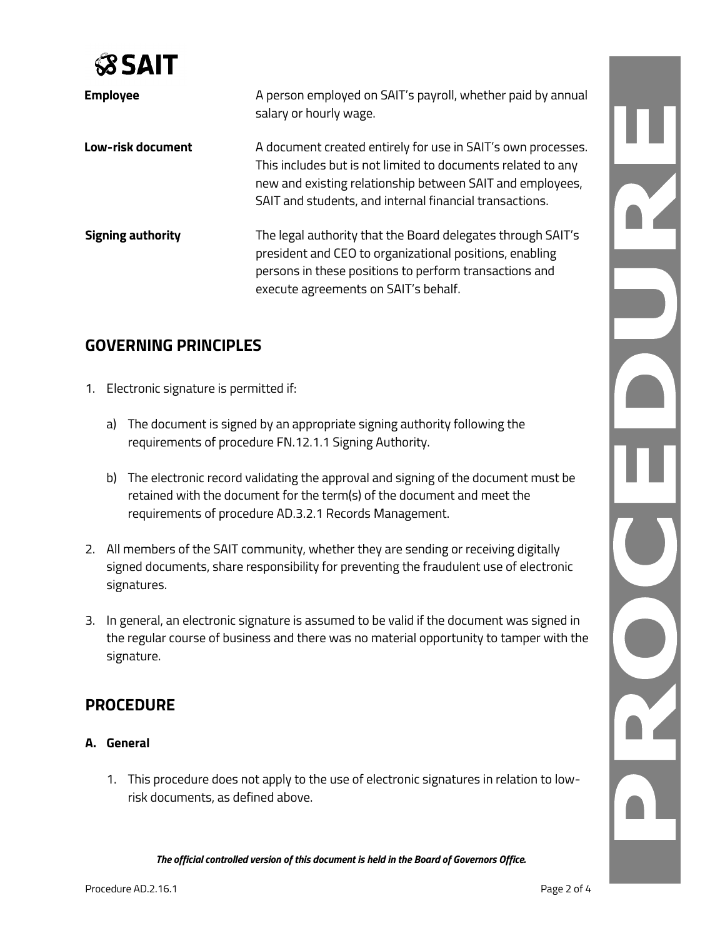

| <b>Employee</b>          | A person employed on SAIT's payroll, whether paid by annual<br>salary or hourly wage.                                                                                                                                                                |
|--------------------------|------------------------------------------------------------------------------------------------------------------------------------------------------------------------------------------------------------------------------------------------------|
| Low-risk document        | A document created entirely for use in SAIT's own processes.<br>This includes but is not limited to documents related to any<br>new and existing relationship between SAIT and employees,<br>SAIT and students, and internal financial transactions. |
| <b>Signing authority</b> | The legal authority that the Board delegates through SAIT's<br>president and CEO to organizational positions, enabling<br>persons in these positions to perform transactions and<br>execute agreements on SAIT's behalf.                             |

# **GOVERNING PRINCIPLES**

- 1. Electronic signature is permitted if:
	- a) The document is signed by an appropriate signing authority following the requirements of procedure FN.12.1.1 Signing Authority.
	- b) The electronic record validating the approval and signing of the document must be retained with the document for the term(s) of the document and meet the requirements of procedure AD.3.2.1 Records [Management.](https://www.wlu.ca/about/governance/assets/resources/10.4-records-management.html)
- 2. All members of the SAIT community, whether they are sending or receiving digitally signed documents, share responsibility for preventing the fraudulent use of electronic signatures.
- 3. In general, an electronic signature is assumed to be valid if the document was signed in the regular course of business and there was no material opportunity to tamper with the signature.

## **PROCEDURE**

#### **A. General**

1. This procedure does not apply to the use of electronic signatures in relation to lowrisk documents, as defined above.

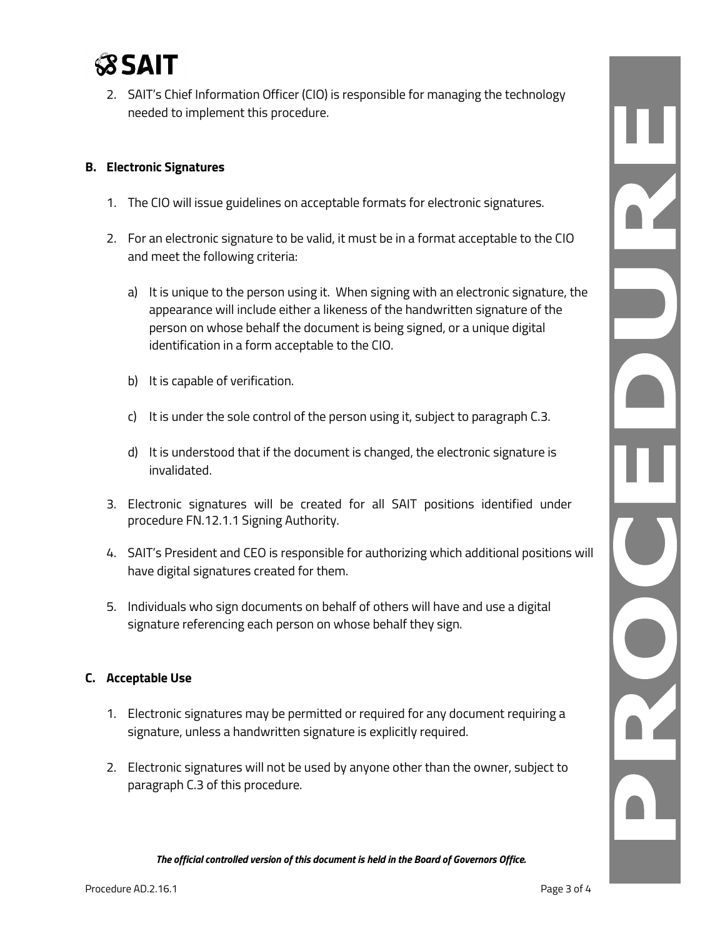

2. SAIT's Chief Information Officer (CIO) is responsible for managing the technology needed to implement this procedure.

#### **B. Electronic Signatures**

- 1. The CIO will issue guidelines on acceptable formats for electronic signatures.
- 2. For an electronic signature to be valid, it must be in a format acceptable to the CIO and meet the following criteria:
	- a) It is unique to the person using it. When signing with an electronic signature, the appearance will include either a likeness of the handwritten signature of the person on whose behalf the document is being signed, or a unique digital identification in a form acceptable to the CIO.
	- b) It is capable of verification.
	- c) It is under the sole control of the person using it, subject to paragraph C.3.
	- d) It is understood that if the document is changed, the electronic signature is invalidated.
- 3. Electronic signatures will be created for all SAIT positions identified under procedure FN.12.1.1 Signing Authority.
- 4. SAIT's President and CEO is responsible for authorizing which additional positions will have digital signatures created for them.
- 5. Individuals who sign documents on behalf of others will have and use a digital signature referencing each person on whose behalf they sign.

#### **C. Acceptable Use**

- 1. Electronic signatures may be permitted or required for any document requiring a signature, unless a handwritten signature is explicitly required.
- 2. Electronic signatures will not be used by anyone other than the owner, subject to paragraph C.3 of this procedure.